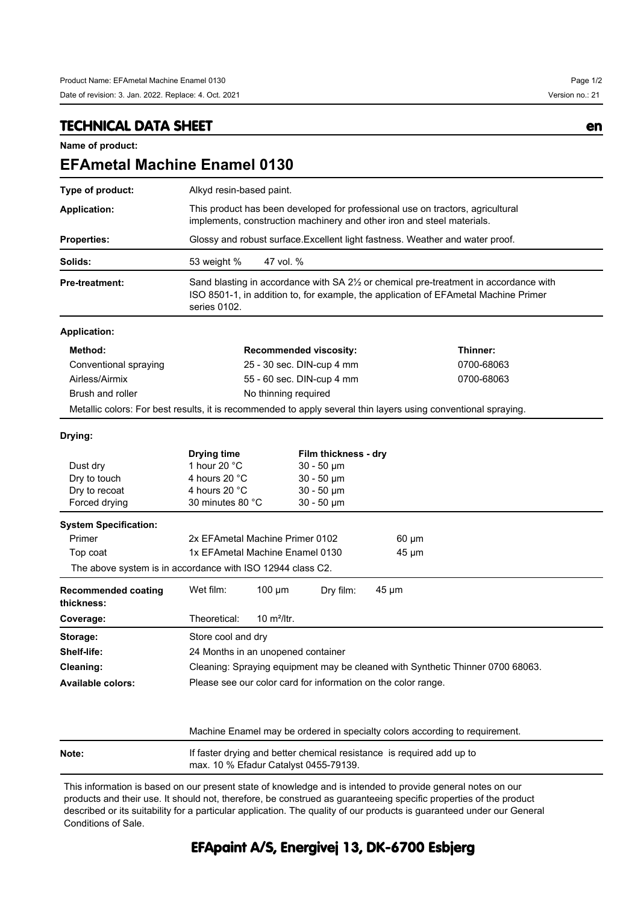## **TECHNICAL DATA SHEET en**

**Name of product:**

| <b>EFAmetal Machine Enamel 0130</b>                                                                            |                                                                                                                                                                                              |                                                                                                                |                                                                                                  |  |            |  |            |  |  |
|----------------------------------------------------------------------------------------------------------------|----------------------------------------------------------------------------------------------------------------------------------------------------------------------------------------------|----------------------------------------------------------------------------------------------------------------|--------------------------------------------------------------------------------------------------|--|------------|--|------------|--|--|
| Type of product:                                                                                               | Alkyd resin-based paint.                                                                                                                                                                     |                                                                                                                |                                                                                                  |  |            |  |            |  |  |
| <b>Application:</b>                                                                                            | This product has been developed for professional use on tractors, agricultural<br>implements, construction machinery and other iron and steel materials.                                     |                                                                                                                |                                                                                                  |  |            |  |            |  |  |
| <b>Properties:</b>                                                                                             | Glossy and robust surface. Excellent light fastness. Weather and water proof.                                                                                                                |                                                                                                                |                                                                                                  |  |            |  |            |  |  |
| Solids:                                                                                                        | 53 weight %<br>47 vol. %                                                                                                                                                                     |                                                                                                                |                                                                                                  |  |            |  |            |  |  |
| Pre-treatment:                                                                                                 | Sand blasting in accordance with SA 21/2 or chemical pre-treatment in accordance with<br>ISO 8501-1, in addition to, for example, the application of EFAmetal Machine Primer<br>series 0102. |                                                                                                                |                                                                                                  |  |            |  |            |  |  |
| <b>Application:</b>                                                                                            |                                                                                                                                                                                              |                                                                                                                |                                                                                                  |  |            |  |            |  |  |
| Method:                                                                                                        | <b>Recommended viscosity:</b>                                                                                                                                                                |                                                                                                                |                                                                                                  |  |            |  | Thinner:   |  |  |
| Conventional spraying                                                                                          | 25 - 30 sec. DIN-cup 4 mm                                                                                                                                                                    |                                                                                                                |                                                                                                  |  |            |  | 0700-68063 |  |  |
| Airless/Airmix                                                                                                 | 55 - 60 sec. DIN-cup 4 mm                                                                                                                                                                    |                                                                                                                |                                                                                                  |  |            |  | 0700-68063 |  |  |
| Brush and roller                                                                                               | No thinning required                                                                                                                                                                         |                                                                                                                |                                                                                                  |  |            |  |            |  |  |
| Metallic colors: For best results, it is recommended to apply several thin layers using conventional spraying. |                                                                                                                                                                                              |                                                                                                                |                                                                                                  |  |            |  |            |  |  |
| Drying:                                                                                                        |                                                                                                                                                                                              |                                                                                                                |                                                                                                  |  |            |  |            |  |  |
| Dust dry<br>Dry to touch<br>Dry to recoat<br>Forced drying                                                     | <b>Drying time</b><br>1 hour 20 °C<br>4 hours 20 °C<br>4 hours 20 °C<br>30 minutes 80 °C                                                                                                     |                                                                                                                | Film thickness - dry<br>$30 - 50 \mu m$<br>$30 - 50 \mu m$<br>$30 - 50 \mu m$<br>$30 - 50 \mu m$ |  |            |  |            |  |  |
| <b>System Specification:</b>                                                                                   |                                                                                                                                                                                              |                                                                                                                |                                                                                                  |  |            |  |            |  |  |
| Primer                                                                                                         | 2x EFAmetal Machine Primer 0102<br>$60 \mu m$                                                                                                                                                |                                                                                                                |                                                                                                  |  |            |  |            |  |  |
| Top coat                                                                                                       | 1x EFAmetal Machine Enamel 0130<br>45 µm                                                                                                                                                     |                                                                                                                |                                                                                                  |  |            |  |            |  |  |
| The above system is in accordance with ISO 12944 class C2.                                                     |                                                                                                                                                                                              |                                                                                                                |                                                                                                  |  |            |  |            |  |  |
| <b>Recommended coating</b><br>thickness:                                                                       | Wet film:                                                                                                                                                                                    | $100 \mu m$                                                                                                    | Dry film:                                                                                        |  | $45 \mu m$ |  |            |  |  |
| Coverage:                                                                                                      | Theoretical:                                                                                                                                                                                 | 10 $m^2$ /ltr.                                                                                                 |                                                                                                  |  |            |  |            |  |  |
| Storage:                                                                                                       | Store cool and dry                                                                                                                                                                           |                                                                                                                |                                                                                                  |  |            |  |            |  |  |
| Shelf-life:                                                                                                    | 24 Months in an unopened container                                                                                                                                                           |                                                                                                                |                                                                                                  |  |            |  |            |  |  |
| Cleaning:                                                                                                      | Cleaning: Spraying equipment may be cleaned with Synthetic Thinner 0700 68063.                                                                                                               |                                                                                                                |                                                                                                  |  |            |  |            |  |  |
| <b>Available colors:</b>                                                                                       | Please see our color card for information on the color range.                                                                                                                                |                                                                                                                |                                                                                                  |  |            |  |            |  |  |
|                                                                                                                |                                                                                                                                                                                              | Machine Enamel may be ordered in specialty colors according to requirement.                                    |                                                                                                  |  |            |  |            |  |  |
| Note:                                                                                                          |                                                                                                                                                                                              | If faster drying and better chemical resistance is required add up to<br>max. 10 % Efadur Catalyst 0455-79139. |                                                                                                  |  |            |  |            |  |  |

This information is based on our present state of knowledge and is intended to provide general notes on our products and their use. It should not, therefore, be construed as guaranteeing specific properties of the product described or its suitability for a particular application. The quality of our products is guaranteed under our General Conditions of Sale.